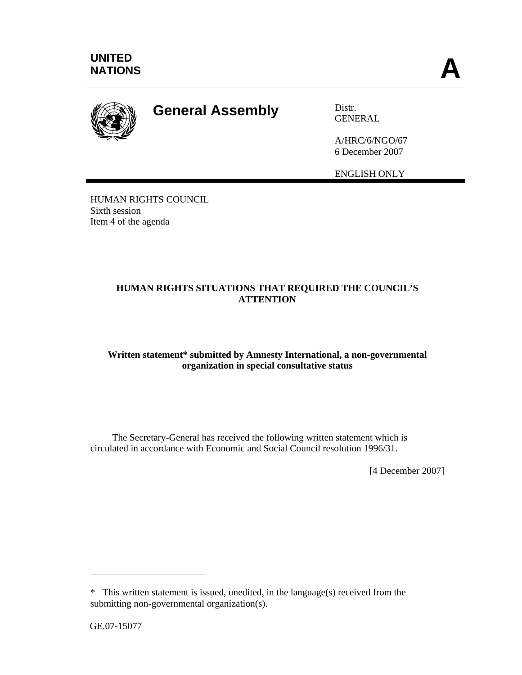

# **General Assembly** Distr.

GENERAL

A/HRC/6/NGO/67 6 December 2007

ENGLISH ONLY

HUMAN RIGHTS COUNCIL Sixth session Item 4 of the agenda

# **HUMAN RIGHTS SITUATIONS THAT REQUIRED THE COUNCIL'S ATTENTION**

# **Written statement\* submitted by Amnesty International, a non-governmental organization in special consultative status**

 The Secretary-General has received the following written statement which is circulated in accordance with Economic and Social Council resolution 1996/31.

[4 December 2007]

 $\overline{a}$ 

<sup>\*</sup> This written statement is issued, unedited, in the language(s) received from the submitting non-governmental organization(s).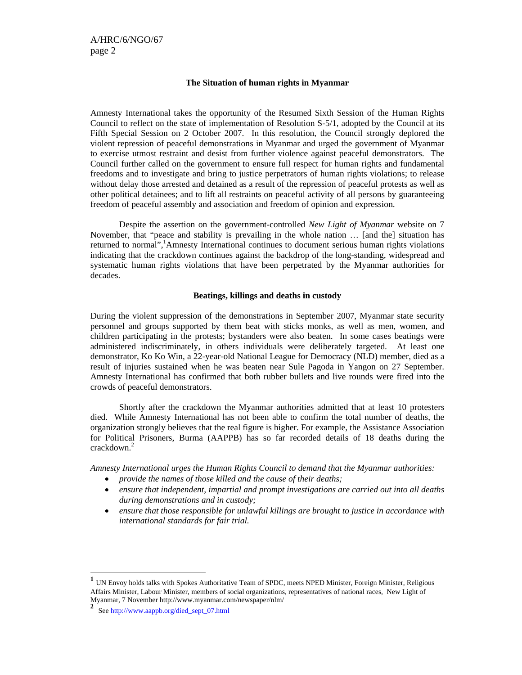#### **The Situation of human rights in Myanmar**

Amnesty International takes the opportunity of the Resumed Sixth Session of the Human Rights Council to reflect on the state of implementation of Resolution S-5/1, adopted by the Council at its Fifth Special Session on 2 October 2007. In this resolution, the Council strongly deplored the violent repression of peaceful demonstrations in Myanmar and urged the government of Myanmar to exercise utmost restraint and desist from further violence against peaceful demonstrators. The Council further called on the government to ensure full respect for human rights and fundamental freedoms and to investigate and bring to justice perpetrators of human rights violations; to release without delay those arrested and detained as a result of the repression of peaceful protests as well as other political detainees; and to lift all restraints on peaceful activity of all persons by guaranteeing freedom of peaceful assembly and association and freedom of opinion and expression.

Despite the assertion on the government-controlled *New Light of Myanmar* website on 7 November, that "peace and stability is prevailing in the whole nation … [and the] situation has returned to normal",<sup>1</sup>Amnesty International continues to document serious human rights violations indicating that the crackdown continues against the backdrop of the long-standing, widespread and systematic human rights violations that have been perpetrated by the Myanmar authorities for decades.

#### **Beatings, killings and deaths in custody**

During the violent suppression of the demonstrations in September 2007, Myanmar state security personnel and groups supported by them beat with sticks monks, as well as men, women, and children participating in the protests; bystanders were also beaten. In some cases beatings were administered indiscriminately, in others individuals were deliberately targeted. At least one demonstrator, Ko Ko Win, a 22-year-old National League for Democracy (NLD) member, died as a result of injuries sustained when he was beaten near Sule Pagoda in Yangon on 27 September. Amnesty International has confirmed that both rubber bullets and live rounds were fired into the crowds of peaceful demonstrators.

Shortly after the crackdown the Myanmar authorities admitted that at least 10 protesters died. While Amnesty International has not been able to confirm the total number of deaths, the organization strongly believes that the real figure is higher. For example, the Assistance Association for Political Prisoners, Burma (AAPPB) has so far recorded details of 18 deaths during the crackdown.<sup>2</sup>

*Amnesty International urges the Human Rights Council to demand that the Myanmar authorities:* 

- *provide the names of those killed and the cause of their deaths;*
- *ensure that independent, impartial and prompt investigations are carried out into all deaths during demonstrations and in custody;*
- *ensure that those responsible for unlawful killings are brought to justice in accordance with international standards for fair trial.*

 $\overline{a}$ 

**<sup>1</sup>** UN Envoy holds talks with Spokes Authoritative Team of SPDC, meets NPED Minister, Foreign Minister, Religious Affairs Minister, Labour Minister, members of social organizations, representatives of national races, New Light of Myanmar, 7 November http://www.myanmar.com/newspaper/nlm/

**<sup>2</sup>** See http://www.aappb.org/died\_sept\_07.html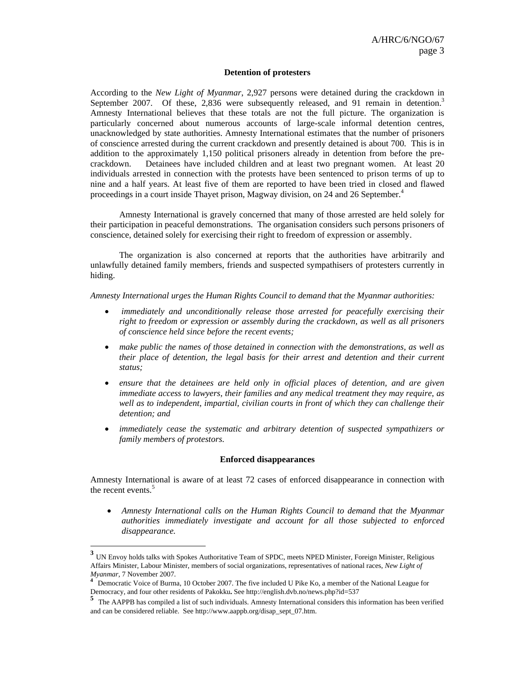#### **Detention of protesters**

According to the *New Light of Myanmar*, 2,927 persons were detained during the crackdown in September 2007. Of these, 2,836 were subsequently released, and 91 remain in detention.<sup>3</sup> Amnesty International believes that these totals are not the full picture. The organization is particularly concerned about numerous accounts of large-scale informal detention centres, unacknowledged by state authorities. Amnesty International estimates that the number of prisoners of conscience arrested during the current crackdown and presently detained is about 700. This is in addition to the approximately 1,150 political prisoners already in detention from before the precrackdown. Detainees have included children and at least two pregnant women. At least 20 individuals arrested in connection with the protests have been sentenced to prison terms of up to nine and a half years. At least five of them are reported to have been tried in closed and flawed proceedings in a court inside Thayet prison, Magway division, on 24 and 26 September.<sup>4</sup>

Amnesty International is gravely concerned that many of those arrested are held solely for their participation in peaceful demonstrations. The organisation considers such persons prisoners of conscience, detained solely for exercising their right to freedom of expression or assembly.

The organization is also concerned at reports that the authorities have arbitrarily and unlawfully detained family members, friends and suspected sympathisers of protesters currently in hiding.

*Amnesty International urges the Human Rights Council to demand that the Myanmar authorities:* 

- *immediately and unconditionally release those arrested for peacefully exercising their right to freedom or expression or assembly during the crackdown, as well as all prisoners of conscience held since before the recent events;*
- *make public the names of those detained in connection with the demonstrations, as well as their place of detention, the legal basis for their arrest and detention and their current status;*
- *ensure that the detainees are held only in official places of detention, and are given immediate access to lawyers, their families and any medical treatment they may require, as well as to independent, impartial, civilian courts in front of which they can challenge their detention; and*
- *immediately cease the systematic and arbitrary detention of suspected sympathizers or family members of protestors.*

#### **Enforced disappearances**

Amnesty International is aware of at least 72 cases of enforced disappearance in connection with the recent events.<sup>5</sup>

• *Amnesty International calls on the Human Rights Council to demand that the Myanmar authorities immediately investigate and account for all those subjected to enforced disappearance.* 

 $\overline{a}$ 

**<sup>3</sup>** UN Envoy holds talks with Spokes Authoritative Team of SPDC, meets NPED Minister, Foreign Minister, Religious Affairs Minister, Labour Minister, members of social organizations, representatives of national races, *New Light of Myanmar,* <sup>7</sup> November 2007. **<sup>4</sup>** Democratic Voice of Burma, 10 October 2007. The five included U Pike Ko, a member of the National League for

Democracy, and four other residents of Pakokku**.** See http://english.dvb.no/news.php?id=537

**<sup>5</sup>** The AAPPB has compiled a list of such individuals. Amnesty International considers this information has been verified and can be considered reliable. See http://www.aappb.org/disap\_sept\_07.htm.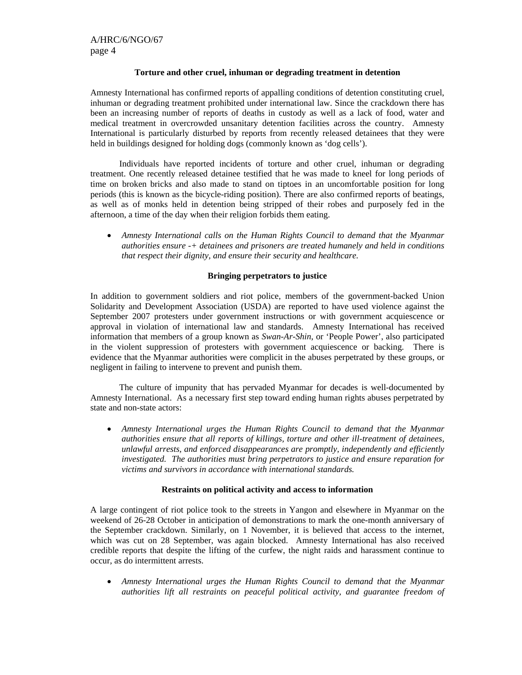### **Torture and other cruel, inhuman or degrading treatment in detention**

Amnesty International has confirmed reports of appalling conditions of detention constituting cruel, inhuman or degrading treatment prohibited under international law. Since the crackdown there has been an increasing number of reports of deaths in custody as well as a lack of food, water and medical treatment in overcrowded unsanitary detention facilities across the country. Amnesty International is particularly disturbed by reports from recently released detainees that they were held in buildings designed for holding dogs (commonly known as 'dog cells').

 Individuals have reported incidents of torture and other cruel, inhuman or degrading treatment. One recently released detainee testified that he was made to kneel for long periods of time on broken bricks and also made to stand on tiptoes in an uncomfortable position for long periods (this is known as the bicycle-riding position). There are also confirmed reports of beatings, as well as of monks held in detention being stripped of their robes and purposely fed in the afternoon, a time of the day when their religion forbids them eating.

• *Amnesty International calls on the Human Rights Council to demand that the Myanmar authorities ensure -+ detainees and prisoners are treated humanely and held in conditions that respect their dignity, and ensure their security and healthcare.* 

## **Bringing perpetrators to justice**

In addition to government soldiers and riot police, members of the government-backed Union Solidarity and Development Association (USDA) are reported to have used violence against the September 2007 protesters under government instructions or with government acquiescence or approval in violation of international law and standards. Amnesty International has received information that members of a group known as *Swan-Ar-Shin*, or 'People Power', also participated in the violent suppression of protesters with government acquiescence or backing. There is evidence that the Myanmar authorities were complicit in the abuses perpetrated by these groups, or negligent in failing to intervene to prevent and punish them.

The culture of impunity that has pervaded Myanmar for decades is well-documented by Amnesty International. As a necessary first step toward ending human rights abuses perpetrated by state and non-state actors:

• *Amnesty International urges the Human Rights Council to demand that the Myanmar authorities ensure that all reports of killings, torture and other ill-treatment of detainees, unlawful arrests, and enforced disappearances are promptly, independently and efficiently investigated. The authorities must bring perpetrators to justice and ensure reparation for victims and survivors in accordance with international standards.* 

## **Restraints on political activity and access to information**

A large contingent of riot police took to the streets in Yangon and elsewhere in Myanmar on the weekend of 26-28 October in anticipation of demonstrations to mark the one-month anniversary of the September crackdown. Similarly, on 1 November, it is believed that access to the internet, which was cut on 28 September, was again blocked. Amnesty International has also received credible reports that despite the lifting of the curfew, the night raids and harassment continue to occur, as do intermittent arrests.

• *Amnesty International urges the Human Rights Council to demand that the Myanmar authorities lift all restraints on peaceful political activity, and guarantee freedom of*